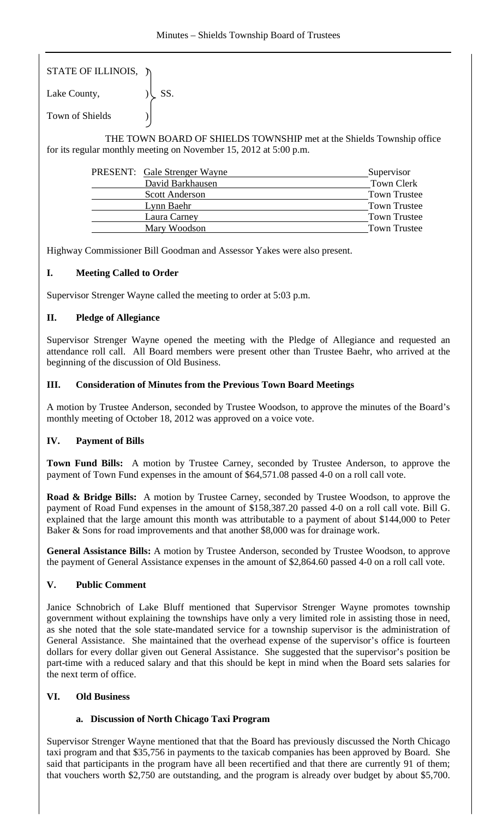| STATE OF ILLINOIS, η |                   |
|----------------------|-------------------|
| Lake County,         | $\mathcal{C}$ SS. |

Town of Shields )

 THE TOWN BOARD OF SHIELDS TOWNSHIP met at the Shields Township office for its regular monthly meeting on November 15, 2012 at 5:00 p.m.

| PRESENT: Gale Strenger Wayne | Supervisor          |
|------------------------------|---------------------|
| David Barkhausen             | <b>Town Clerk</b>   |
| <b>Scott Anderson</b>        | <b>Town Trustee</b> |
| Lynn Baehr                   | <b>Town Trustee</b> |
| Laura Carney                 | <b>Town Trustee</b> |
| Mary Woodson                 | <b>Town Trustee</b> |

Highway Commissioner Bill Goodman and Assessor Yakes were also present.

# **I. Meeting Called to Order**

Supervisor Strenger Wayne called the meeting to order at 5:03 p.m.

# **II. Pledge of Allegiance**

Supervisor Strenger Wayne opened the meeting with the Pledge of Allegiance and requested an attendance roll call. All Board members were present other than Trustee Baehr, who arrived at the beginning of the discussion of Old Business.

### **III. Consideration of Minutes from the Previous Town Board Meetings**

A motion by Trustee Anderson, seconded by Trustee Woodson, to approve the minutes of the Board's monthly meeting of October 18, 2012 was approved on a voice vote.

# **IV. Payment of Bills**

**Town Fund Bills:** A motion by Trustee Carney, seconded by Trustee Anderson, to approve the payment of Town Fund expenses in the amount of \$64,571.08 passed 4-0 on a roll call vote.

**Road & Bridge Bills:** A motion by Trustee Carney, seconded by Trustee Woodson, to approve the payment of Road Fund expenses in the amount of \$158,387.20 passed 4-0 on a roll call vote. Bill G. explained that the large amount this month was attributable to a payment of about \$144,000 to Peter Baker & Sons for road improvements and that another \$8,000 was for drainage work.

**General Assistance Bills:** A motion by Trustee Anderson, seconded by Trustee Woodson, to approve the payment of General Assistance expenses in the amount of \$2,864.60 passed 4-0 on a roll call vote.

#### **V. Public Comment**

Janice Schnobrich of Lake Bluff mentioned that Supervisor Strenger Wayne promotes township government without explaining the townships have only a very limited role in assisting those in need, as she noted that the sole state-mandated service for a township supervisor is the administration of General Assistance. She maintained that the overhead expense of the supervisor's office is fourteen dollars for every dollar given out General Assistance. She suggested that the supervisor's position be part-time with a reduced salary and that this should be kept in mind when the Board sets salaries for the next term of office.

### **VI. Old Business**

#### **a. Discussion of North Chicago Taxi Program**

Supervisor Strenger Wayne mentioned that that the Board has previously discussed the North Chicago taxi program and that \$35,756 in payments to the taxicab companies has been approved by Board. She said that participants in the program have all been recertified and that there are currently 91 of them; that vouchers worth \$2,750 are outstanding, and the program is already over budget by about \$5,700.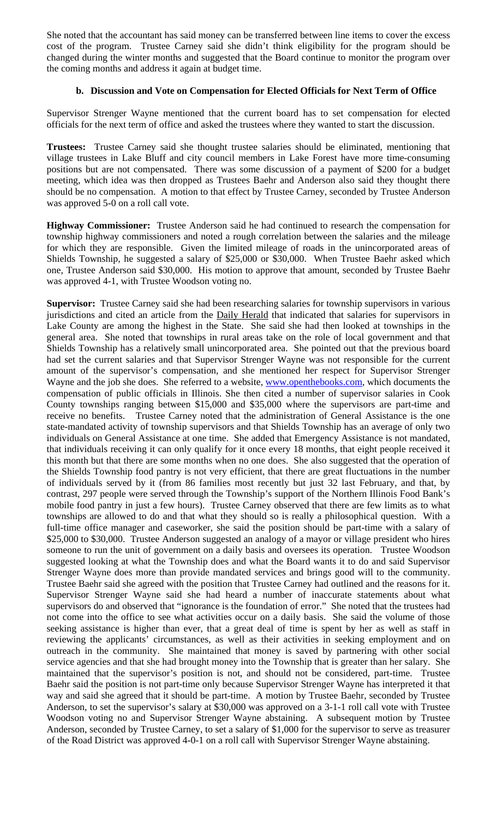She noted that the accountant has said money can be transferred between line items to cover the excess cost of the program. Trustee Carney said she didn't think eligibility for the program should be changed during the winter months and suggested that the Board continue to monitor the program over the coming months and address it again at budget time.

### **b. Discussion and Vote on Compensation for Elected Officials for Next Term of Office**

Supervisor Strenger Wayne mentioned that the current board has to set compensation for elected officials for the next term of office and asked the trustees where they wanted to start the discussion.

**Trustees:** Trustee Carney said she thought trustee salaries should be eliminated, mentioning that village trustees in Lake Bluff and city council members in Lake Forest have more time-consuming positions but are not compensated. There was some discussion of a payment of \$200 for a budget meeting, which idea was then dropped as Trustees Baehr and Anderson also said they thought there should be no compensation. A motion to that effect by Trustee Carney, seconded by Trustee Anderson was approved 5-0 on a roll call vote.

**Highway Commissioner:** Trustee Anderson said he had continued to research the compensation for township highway commissioners and noted a rough correlation between the salaries and the mileage for which they are responsible. Given the limited mileage of roads in the unincorporated areas of Shields Township, he suggested a salary of \$25,000 or \$30,000. When Trustee Baehr asked which one, Trustee Anderson said \$30,000. His motion to approve that amount, seconded by Trustee Baehr was approved 4-1, with Trustee Woodson voting no.

**Supervisor:** Trustee Carney said she had been researching salaries for township supervisors in various jurisdictions and cited an article from the Daily Herald that indicated that salaries for supervisors in Lake County are among the highest in the State. She said she had then looked at townships in the general area. She noted that townships in rural areas take on the role of local government and that Shields Township has a relatively small unincorporated area. She pointed out that the previous board had set the current salaries and that Supervisor Strenger Wayne was not responsible for the current amount of the supervisor's compensation, and she mentioned her respect for Supervisor Strenger Wayne and the job she does. She referred to a website, www.openthebooks.com, which documents the compensation of public officials in Illinois. She then cited a number of supervisor salaries in Cook County townships ranging between \$15,000 and \$35,000 where the supervisors are part-time and receive no benefits. Trustee Carney noted that the administration of General Assistance is the one state-mandated activity of township supervisors and that Shields Township has an average of only two individuals on General Assistance at one time. She added that Emergency Assistance is not mandated, that individuals receiving it can only qualify for it once every 18 months, that eight people received it this month but that there are some months when no one does. She also suggested that the operation of the Shields Township food pantry is not very efficient, that there are great fluctuations in the number of individuals served by it (from 86 families most recently but just 32 last February, and that, by contrast, 297 people were served through the Township's support of the Northern Illinois Food Bank's mobile food pantry in just a few hours). Trustee Carney observed that there are few limits as to what townships are allowed to do and that what they should so is really a philosophical question. With a full-time office manager and caseworker, she said the position should be part-time with a salary of \$25,000 to \$30,000. Trustee Anderson suggested an analogy of a mayor or village president who hires someone to run the unit of government on a daily basis and oversees its operation. Trustee Woodson suggested looking at what the Township does and what the Board wants it to do and said Supervisor Strenger Wayne does more than provide mandated services and brings good will to the community. Trustee Baehr said she agreed with the position that Trustee Carney had outlined and the reasons for it. Supervisor Strenger Wayne said she had heard a number of inaccurate statements about what supervisors do and observed that "ignorance is the foundation of error." She noted that the trustees had not come into the office to see what activities occur on a daily basis. She said the volume of those seeking assistance is higher than ever, that a great deal of time is spent by her as well as staff in reviewing the applicants' circumstances, as well as their activities in seeking employment and on outreach in the community. She maintained that money is saved by partnering with other social service agencies and that she had brought money into the Township that is greater than her salary. She maintained that the supervisor's position is not, and should not be considered, part-time. Trustee Baehr said the position is not part-time only because Supervisor Strenger Wayne has interpreted it that way and said she agreed that it should be part-time. A motion by Trustee Baehr, seconded by Trustee Anderson, to set the supervisor's salary at \$30,000 was approved on a 3-1-1 roll call vote with Trustee Woodson voting no and Supervisor Strenger Wayne abstaining. A subsequent motion by Trustee Anderson, seconded by Trustee Carney, to set a salary of \$1,000 for the supervisor to serve as treasurer of the Road District was approved 4-0-1 on a roll call with Supervisor Strenger Wayne abstaining.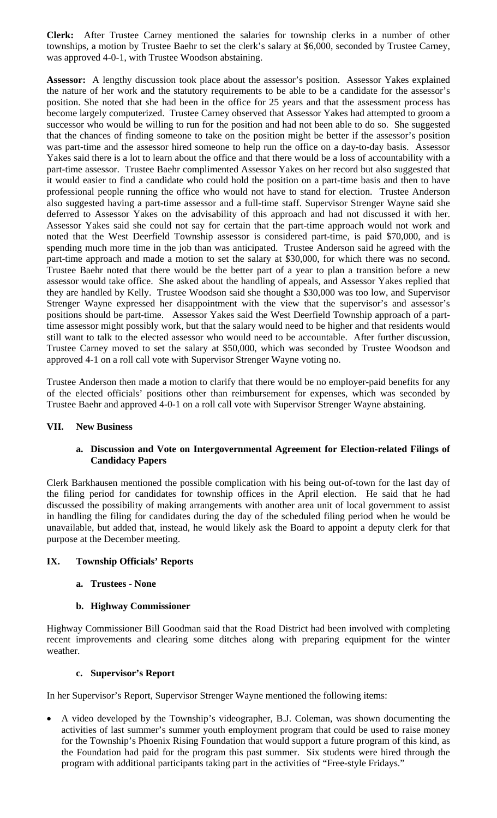**Clerk:** After Trustee Carney mentioned the salaries for township clerks in a number of other townships, a motion by Trustee Baehr to set the clerk's salary at \$6,000, seconded by Trustee Carney, was approved 4-0-1, with Trustee Woodson abstaining.

**Assessor:** A lengthy discussion took place about the assessor's position. Assessor Yakes explained the nature of her work and the statutory requirements to be able to be a candidate for the assessor's position. She noted that she had been in the office for 25 years and that the assessment process has become largely computerized. Trustee Carney observed that Assessor Yakes had attempted to groom a successor who would be willing to run for the position and had not been able to do so. She suggested that the chances of finding someone to take on the position might be better if the assessor's position was part-time and the assessor hired someone to help run the office on a day-to-day basis. Assessor Yakes said there is a lot to learn about the office and that there would be a loss of accountability with a part-time assessor. Trustee Baehr complimented Assessor Yakes on her record but also suggested that it would easier to find a candidate who could hold the position on a part-time basis and then to have professional people running the office who would not have to stand for election. Trustee Anderson also suggested having a part-time assessor and a full-time staff. Supervisor Strenger Wayne said she deferred to Assessor Yakes on the advisability of this approach and had not discussed it with her. Assessor Yakes said she could not say for certain that the part-time approach would not work and noted that the West Deerfield Township assessor is considered part-time, is paid \$70,000, and is spending much more time in the job than was anticipated. Trustee Anderson said he agreed with the part-time approach and made a motion to set the salary at \$30,000, for which there was no second. Trustee Baehr noted that there would be the better part of a year to plan a transition before a new assessor would take office. She asked about the handling of appeals, and Assessor Yakes replied that they are handled by Kelly. Trustee Woodson said she thought a \$30,000 was too low, and Supervisor Strenger Wayne expressed her disappointment with the view that the supervisor's and assessor's positions should be part-time. Assessor Yakes said the West Deerfield Township approach of a parttime assessor might possibly work, but that the salary would need to be higher and that residents would still want to talk to the elected assessor who would need to be accountable. After further discussion, Trustee Carney moved to set the salary at \$50,000, which was seconded by Trustee Woodson and approved 4-1 on a roll call vote with Supervisor Strenger Wayne voting no.

Trustee Anderson then made a motion to clarify that there would be no employer-paid benefits for any of the elected officials' positions other than reimbursement for expenses, which was seconded by Trustee Baehr and approved 4-0-1 on a roll call vote with Supervisor Strenger Wayne abstaining.

#### **VII. New Business**

#### **a. Discussion and Vote on Intergovernmental Agreement for Election-related Filings of Candidacy Papers**

Clerk Barkhausen mentioned the possible complication with his being out-of-town for the last day of the filing period for candidates for township offices in the April election. He said that he had discussed the possibility of making arrangements with another area unit of local government to assist in handling the filing for candidates during the day of the scheduled filing period when he would be unavailable, but added that, instead, he would likely ask the Board to appoint a deputy clerk for that purpose at the December meeting.

#### **IX. Township Officials' Reports**

#### **a. Trustees - None**

#### **b. Highway Commissioner**

Highway Commissioner Bill Goodman said that the Road District had been involved with completing recent improvements and clearing some ditches along with preparing equipment for the winter weather.

#### **c. Supervisor's Report**

In her Supervisor's Report, Supervisor Strenger Wayne mentioned the following items:

 A video developed by the Township's videographer, B.J. Coleman, was shown documenting the activities of last summer's summer youth employment program that could be used to raise money for the Township's Phoenix Rising Foundation that would support a future program of this kind, as the Foundation had paid for the program this past summer. Six students were hired through the program with additional participants taking part in the activities of "Free-style Fridays."